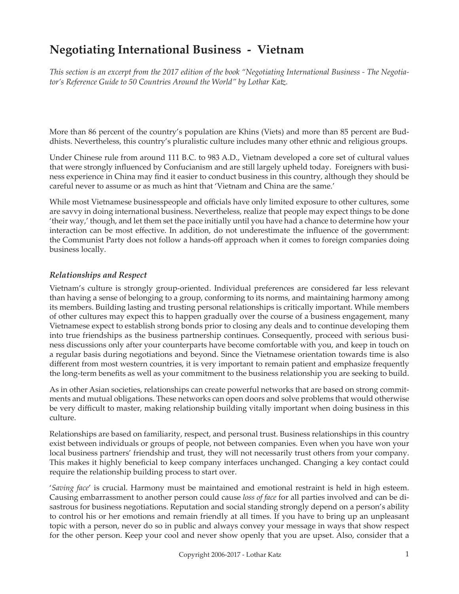# **Negotiating International Business - Vietnam**

*This section is an excerpt from the 2017 edition of the book "Negotiating International Business - The Negotiator's Reference Guide to 50 Countries Around the World" by Lothar Katz.*

More than 86 percent of the country's population are Khins (Viets) and more than 85 percent are Buddhists. Nevertheless, this country's pluralistic culture includes many other ethnic and religious groups.

Under Chinese rule from around 111 B.C. to 983 A.D., Vietnam developed a core set of cultural values that were strongly influenced by Confucianism and are still largely upheld today. Foreigners with business experience in China may find it easier to conduct business in this country, although they should be careful never to assume or as much as hint that 'Vietnam and China are the same.'

While most Vietnamese businesspeople and officials have only limited exposure to other cultures, some are savvy in doing international business. Nevertheless, realize that people may expect things to be done 'their way,' though, and let them set the pace initially until you have had a chance to determine how your interaction can be most effective. In addition, do not underestimate the influence of the government: the Communist Party does not follow a hands-off approach when it comes to foreign companies doing business locally.

#### *Relationships and Respect*

Vietnam's culture is strongly group-oriented. Individual preferences are considered far less relevant than having a sense of belonging to a group, conforming to its norms, and maintaining harmony among its members. Building lasting and trusting personal relationships is critically important. While members of other cultures may expect this to happen gradually over the course of a business engagement, many Vietnamese expect to establish strong bonds prior to closing any deals and to continue developing them into true friendships as the business partnership continues. Consequently, proceed with serious business discussions only after your counterparts have become comfortable with you, and keep in touch on a regular basis during negotiations and beyond. Since the Vietnamese orientation towards time is also different from most western countries, it is very important to remain patient and emphasize frequently the long-term benefits as well as your commitment to the business relationship you are seeking to build.

As in other Asian societies, relationships can create powerful networks that are based on strong commitments and mutual obligations. These networks can open doors and solve problems that would otherwise be very difficult to master, making relationship building vitally important when doing business in this culture.

Relationships are based on familiarity, respect, and personal trust. Business relationships in this country exist between individuals or groups of people, not between companies. Even when you have won your local business partners' friendship and trust, they will not necessarily trust others from your company. This makes it highly beneficial to keep company interfaces unchanged. Changing a key contact could require the relationship building process to start over.

'*Saving face*' is crucial. Harmony must be maintained and emotional restraint is held in high esteem. Causing embarrassment to another person could cause *loss of face* for all parties involved and can be disastrous for business negotiations. Reputation and social standing strongly depend on a person's ability to control his or her emotions and remain friendly at all times. If you have to bring up an unpleasant topic with a person, never do so in public and always convey your message in ways that show respect for the other person. Keep your cool and never show openly that you are upset. Also, consider that a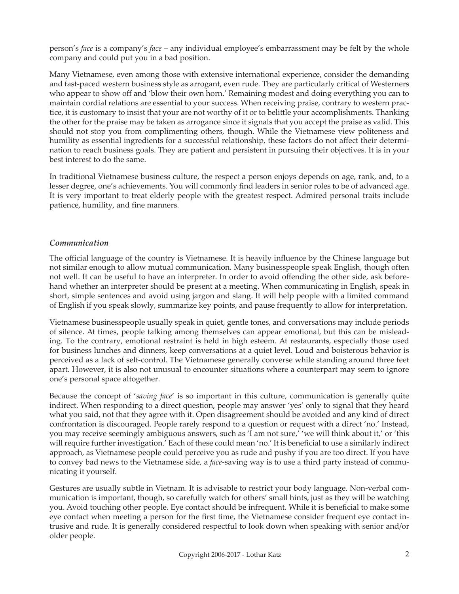person's *face* is a company's *face* – any individual employee's embarrassment may be felt by the whole company and could put you in a bad position.

Many Vietnamese, even among those with extensive international experience, consider the demanding and fast-paced western business style as arrogant, even rude. They are particularly critical of Westerners who appear to show off and 'blow their own horn.' Remaining modest and doing everything you can to maintain cordial relations are essential to your success. When receiving praise, contrary to western practice, it is customary to insist that your are not worthy of it or to belittle your accomplishments. Thanking the other for the praise may be taken as arrogance since it signals that you accept the praise as valid. This should not stop you from complimenting others, though. While the Vietnamese view politeness and humility as essential ingredients for a successful relationship, these factors do not affect their determination to reach business goals. They are patient and persistent in pursuing their objectives. It is in your best interest to do the same.

In traditional Vietnamese business culture, the respect a person enjoys depends on age, rank, and, to a lesser degree, one's achievements. You will commonly find leaders in senior roles to be of advanced age. It is very important to treat elderly people with the greatest respect. Admired personal traits include patience, humility, and fine manners.

## *Communication*

The official language of the country is Vietnamese. It is heavily influence by the Chinese language but not similar enough to allow mutual communication. Many businesspeople speak English, though often not well. It can be useful to have an interpreter. In order to avoid offending the other side, ask beforehand whether an interpreter should be present at a meeting. When communicating in English, speak in short, simple sentences and avoid using jargon and slang. It will help people with a limited command of English if you speak slowly, summarize key points, and pause frequently to allow for interpretation.

Vietnamese businesspeople usually speak in quiet, gentle tones, and conversations may include periods of silence. At times, people talking among themselves can appear emotional, but this can be misleading. To the contrary, emotional restraint is held in high esteem. At restaurants, especially those used for business lunches and dinners, keep conversations at a quiet level. Loud and boisterous behavior is perceived as a lack of self-control. The Vietnamese generally converse while standing around three feet apart. However, it is also not unusual to encounter situations where a counterpart may seem to ignore one's personal space altogether.

Because the concept of '*saving face*' is so important in this culture, communication is generally quite indirect. When responding to a direct question, people may answer 'yes' only to signal that they heard what you said, not that they agree with it. Open disagreement should be avoided and any kind of direct confrontation is discouraged. People rarely respond to a question or request with a direct 'no.' Instead, you may receive seemingly ambiguous answers, such as 'I am not sure,' 'we will think about it,' or 'this will require further investigation.' Each of these could mean 'no.' It is beneficial to use a similarly indirect approach, as Vietnamese people could perceive you as rude and pushy if you are too direct. If you have to convey bad news to the Vietnamese side, a *face*-saving way is to use a third party instead of communicating it yourself.

Gestures are usually subtle in Vietnam. It is advisable to restrict your body language. Non-verbal communication is important, though, so carefully watch for others' small hints, just as they will be watching you. Avoid touching other people. Eye contact should be infrequent. While it is beneficial to make some eye contact when meeting a person for the first time, the Vietnamese consider frequent eye contact intrusive and rude. It is generally considered respectful to look down when speaking with senior and/or older people.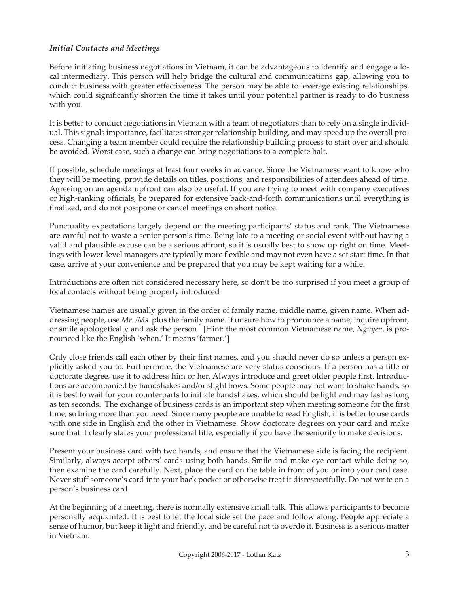### *Initial Contacts and Meetings*

Before initiating business negotiations in Vietnam, it can be advantageous to identify and engage a local intermediary. This person will help bridge the cultural and communications gap, allowing you to conduct business with greater effectiveness. The person may be able to leverage existing relationships, which could significantly shorten the time it takes until your potential partner is ready to do business with you.

It is better to conduct negotiations in Vietnam with a team of negotiators than to rely on a single individual. This signals importance, facilitates stronger relationship building, and may speed up the overall process. Changing a team member could require the relationship building process to start over and should be avoided. Worst case, such a change can bring negotiations to a complete halt.

If possible, schedule meetings at least four weeks in advance. Since the Vietnamese want to know who they will be meeting, provide details on titles, positions, and responsibilities of attendees ahead of time. Agreeing on an agenda upfront can also be useful. If you are trying to meet with company executives or high-ranking officials, be prepared for extensive back-and-forth communications until everything is finalized, and do not postpone or cancel meetings on short notice.

Punctuality expectations largely depend on the meeting participants' status and rank. The Vietnamese are careful not to waste a senior person's time. Being late to a meeting or social event without having a valid and plausible excuse can be a serious affront, so it is usually best to show up right on time. Meetings with lower-level managers are typically more flexible and may not even have a set start time. In that case, arrive at your convenience and be prepared that you may be kept waiting for a while.

Introductions are often not considered necessary here, so don't be too surprised if you meet a group of local contacts without being properly introduced

Vietnamese names are usually given in the order of family name, middle name, given name. When addressing people, use *Mr. /Ms.* plus the family name. If unsure how to pronounce a name, inquire upfront, or smile apologetically and ask the person. [Hint: the most common Vietnamese name, *Nguyen*, is pronounced like the English 'when.' It means 'farmer.']

Only close friends call each other by their first names, and you should never do so unless a person explicitly asked you to. Furthermore, the Vietnamese are very status-conscious. If a person has a title or doctorate degree, use it to address him or her. Always introduce and greet older people first. Introductions are accompanied by handshakes and/or slight bows. Some people may not want to shake hands, so it is best to wait for your counterparts to initiate handshakes, which should be light and may last as long as ten seconds. The exchange of business cards is an important step when meeting someone for the first time, so bring more than you need. Since many people are unable to read English, it is better to use cards with one side in English and the other in Vietnamese. Show doctorate degrees on your card and make sure that it clearly states your professional title, especially if you have the seniority to make decisions.

Present your business card with two hands, and ensure that the Vietnamese side is facing the recipient. Similarly, always accept others' cards using both hands. Smile and make eye contact while doing so, then examine the card carefully. Next, place the card on the table in front of you or into your card case. Never stuff someone's card into your back pocket or otherwise treat it disrespectfully. Do not write on a person's business card.

At the beginning of a meeting, there is normally extensive small talk. This allows participants to become personally acquainted. It is best to let the local side set the pace and follow along. People appreciate a sense of humor, but keep it light and friendly, and be careful not to overdo it. Business is a serious matter in Vietnam.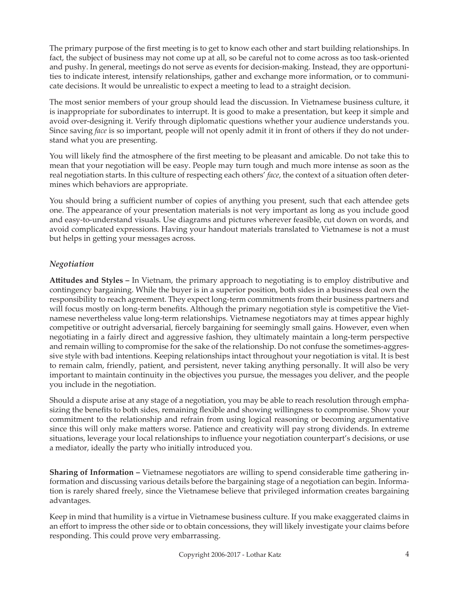The primary purpose of the first meeting is to get to know each other and start building relationships. In fact, the subject of business may not come up at all, so be careful not to come across as too task-oriented and pushy. In general, meetings do not serve as events for decision-making. Instead, they are opportunities to indicate interest, intensify relationships, gather and exchange more information, or to communicate decisions. It would be unrealistic to expect a meeting to lead to a straight decision.

The most senior members of your group should lead the discussion. In Vietnamese business culture, it is inappropriate for subordinates to interrupt. It is good to make a presentation, but keep it simple and avoid over-designing it. Verify through diplomatic questions whether your audience understands you. Since saving *face* is so important, people will not openly admit it in front of others if they do not understand what you are presenting.

You will likely find the atmosphere of the first meeting to be pleasant and amicable. Do not take this to mean that your negotiation will be easy. People may turn tough and much more intense as soon as the real negotiation starts. In this culture of respecting each others' *face*, the context of a situation often determines which behaviors are appropriate.

You should bring a sufficient number of copies of anything you present, such that each attendee gets one. The appearance of your presentation materials is not very important as long as you include good and easy-to-understand visuals. Use diagrams and pictures wherever feasible, cut down on words, and avoid complicated expressions. Having your handout materials translated to Vietnamese is not a must but helps in getting your messages across.

## *Negotiation*

**Attitudes and Styles –** In Vietnam, the primary approach to negotiating is to employ distributive and contingency bargaining. While the buyer is in a superior position, both sides in a business deal own the responsibility to reach agreement. They expect long-term commitments from their business partners and will focus mostly on long-term benefits. Although the primary negotiation style is competitive the Vietnamese nevertheless value long-term relationships. Vietnamese negotiators may at times appear highly competitive or outright adversarial, fiercely bargaining for seemingly small gains. However, even when negotiating in a fairly direct and aggressive fashion, they ultimately maintain a long-term perspective and remain willing to compromise for the sake of the relationship. Do not confuse the sometimes-aggressive style with bad intentions. Keeping relationships intact throughout your negotiation is vital. It is best to remain calm, friendly, patient, and persistent, never taking anything personally. It will also be very important to maintain continuity in the objectives you pursue, the messages you deliver, and the people you include in the negotiation.

Should a dispute arise at any stage of a negotiation, you may be able to reach resolution through emphasizing the benefits to both sides, remaining flexible and showing willingness to compromise. Show your commitment to the relationship and refrain from using logical reasoning or becoming argumentative since this will only make matters worse. Patience and creativity will pay strong dividends. In extreme situations, leverage your local relationships to influence your negotiation counterpart's decisions, or use a mediator, ideally the party who initially introduced you.

**Sharing of Information –** Vietnamese negotiators are willing to spend considerable time gathering information and discussing various details before the bargaining stage of a negotiation can begin. Information is rarely shared freely, since the Vietnamese believe that privileged information creates bargaining advantages.

Keep in mind that humility is a virtue in Vietnamese business culture. If you make exaggerated claims in an effort to impress the other side or to obtain concessions, they will likely investigate your claims before responding. This could prove very embarrassing.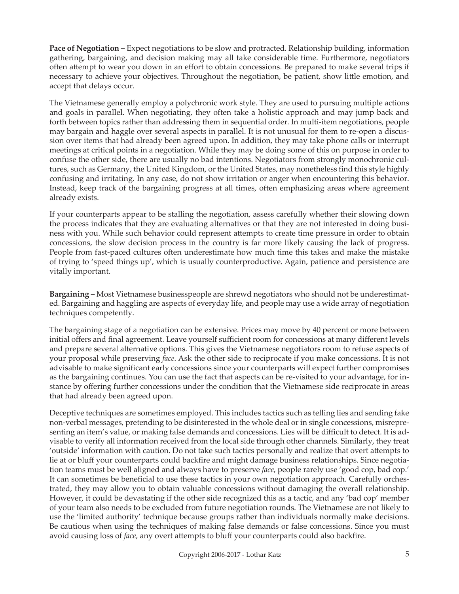**Pace of Negotiation –** Expect negotiations to be slow and protracted. Relationship building, information gathering, bargaining, and decision making may all take considerable time. Furthermore, negotiators often attempt to wear you down in an effort to obtain concessions. Be prepared to make several trips if necessary to achieve your objectives. Throughout the negotiation, be patient, show little emotion, and accept that delays occur.

The Vietnamese generally employ a polychronic work style. They are used to pursuing multiple actions and goals in parallel. When negotiating, they often take a holistic approach and may jump back and forth between topics rather than addressing them in sequential order. In multi-item negotiations, people may bargain and haggle over several aspects in parallel. It is not unusual for them to re-open a discussion over items that had already been agreed upon. In addition, they may take phone calls or interrupt meetings at critical points in a negotiation. While they may be doing some of this on purpose in order to confuse the other side, there are usually no bad intentions. Negotiators from strongly monochronic cultures, such as Germany, the United Kingdom, or the United States, may nonetheless find this style highly confusing and irritating. In any case, do not show irritation or anger when encountering this behavior. Instead, keep track of the bargaining progress at all times, often emphasizing areas where agreement already exists.

If your counterparts appear to be stalling the negotiation, assess carefully whether their slowing down the process indicates that they are evaluating alternatives or that they are not interested in doing business with you. While such behavior could represent attempts to create time pressure in order to obtain concessions, the slow decision process in the country is far more likely causing the lack of progress. People from fast-paced cultures often underestimate how much time this takes and make the mistake of trying to 'speed things up', which is usually counterproductive. Again, patience and persistence are vitally important.

**Bargaining –** Most Vietnamese businesspeople are shrewd negotiators who should not be underestimated. Bargaining and haggling are aspects of everyday life, and people may use a wide array of negotiation techniques competently.

The bargaining stage of a negotiation can be extensive. Prices may move by 40 percent or more between initial offers and final agreement. Leave yourself sufficient room for concessions at many different levels and prepare several alternative options. This gives the Vietnamese negotiators room to refuse aspects of your proposal while preserving *face*. Ask the other side to reciprocate if you make concessions. It is not advisable to make significant early concessions since your counterparts will expect further compromises as the bargaining continues. You can use the fact that aspects can be re-visited to your advantage, for instance by offering further concessions under the condition that the Vietnamese side reciprocate in areas that had already been agreed upon.

Deceptive techniques are sometimes employed. This includes tactics such as telling lies and sending fake non-verbal messages, pretending to be disinterested in the whole deal or in single concessions, misrepresenting an item's value, or making false demands and concessions. Lies will be difficult to detect. It is advisable to verify all information received from the local side through other channels. Similarly, they treat 'outside' information with caution. Do not take such tactics personally and realize that overt attempts to lie at or bluff your counterparts could backfire and might damage business relationships. Since negotiation teams must be well aligned and always have to preserve *face*, people rarely use 'good cop, bad cop.' It can sometimes be beneficial to use these tactics in your own negotiation approach. Carefully orchestrated, they may allow you to obtain valuable concessions without damaging the overall relationship. However, it could be devastating if the other side recognized this as a tactic, and any 'bad cop' member of your team also needs to be excluded from future negotiation rounds. The Vietnamese are not likely to use the 'limited authority' technique because groups rather than individuals normally make decisions. Be cautious when using the techniques of making false demands or false concessions. Since you must avoid causing loss of *face*, any overt attempts to bluff your counterparts could also backfire.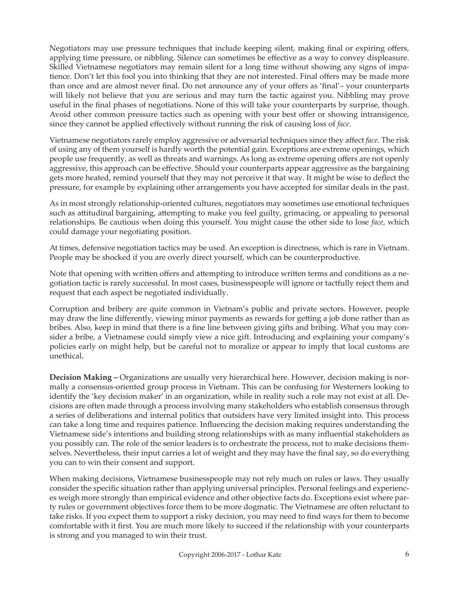Negotiators may use pressure techniques that include keeping silent, making final or expiring offers, applying time pressure, or nibbling. Silence can sometimes be effective as a way to convey displeasure. Skilled Vietnamese negotiators may remain silent for a long time without showing any signs of impatience. Don't let this fool you into thinking that they are not interested. Final offers may be made more than once and are almost never final. Do not announce any of your offers as 'final'– your counterparts will likely not believe that you are serious and may turn the tactic against you. Nibbling may prove useful in the final phases of negotiations. None of this will take your counterparts by surprise, though. Avoid other common pressure tactics such as opening with your best offer or showing intransigence, since they cannot be applied effectively without running the risk of causing loss of *face*.

Vietnamese negotiators rarely employ aggressive or adversarial techniques since they affect *face*. The risk of using any of them yourself is hardly worth the potential gain. Exceptions are extreme openings, which people use frequently, as well as threats and warnings. As long as extreme opening offers are not openly aggressive, this approach can be effective. Should your counterparts appear aggressive as the bargaining gets more heated, remind yourself that they may not perceive it that way. It might be wise to deflect the pressure, for example by explaining other arrangements you have accepted for similar deals in the past.

As in most strongly relationship-oriented cultures, negotiators may sometimes use emotional techniques such as attitudinal bargaining, attempting to make you feel guilty, grimacing, or appealing to personal relationships. Be cautious when doing this yourself. You might cause the other side to lose *face*, which could damage your negotiating position.

At times, defensive negotiation tactics may be used. An exception is directness, which is rare in Vietnam. People may be shocked if you are overly direct yourself, which can be counterproductive.

Note that opening with written offers and attempting to introduce written terms and conditions as a negotiation tactic is rarely successful. In most cases, businesspeople will ignore or tactfully reject them and request that each aspect be negotiated individually.

Corruption and bribery are quite common in Vietnam's public and private sectors. However, people may draw the line differently, viewing minor payments as rewards for getting a job done rather than as bribes. Also, keep in mind that there is a fine line between giving gifts and bribing. What you may consider a bribe, a Vietnamese could simply view a nice gift. Introducing and explaining your company's policies early on might help, but be careful not to moralize or appear to imply that local customs are unethical.

**Decision Making –** Organizations are usually very hierarchical here. However, decision making is normally a consensus-oriented group process in Vietnam. This can be confusing for Westerners looking to identify the 'key decision maker' in an organization, while in reality such a role may not exist at all. Decisions are often made through a process involving many stakeholders who establish consensus through a series of deliberations and internal politics that outsiders have very limited insight into. This process can take a long time and requires patience. Influencing the decision making requires understanding the Vietnamese side's intentions and building strong relationships with as many influential stakeholders as you possibly can. The role of the senior leaders is to orchestrate the process, not to make decisions themselves. Nevertheless, their input carries a lot of weight and they may have the final say, so do everything you can to win their consent and support.

When making decisions, Vietnamese businesspeople may not rely much on rules or laws. They usually consider the specific situation rather than applying universal principles. Personal feelings and experiences weigh more strongly than empirical evidence and other objective facts do. Exceptions exist where party rules or government objectives force them to be more dogmatic. The Vietnamese are often reluctant to take risks. If you expect them to support a risky decision, you may need to find ways for them to become comfortable with it first. You are much more likely to succeed if the relationship with your counterparts is strong and you managed to win their trust.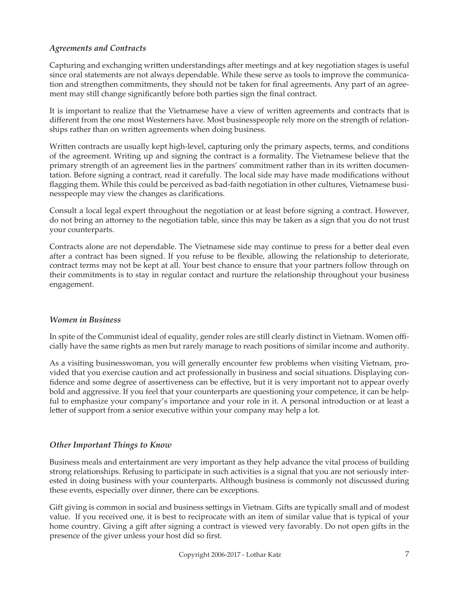## *Agreements and Contracts*

Capturing and exchanging written understandings after meetings and at key negotiation stages is useful since oral statements are not always dependable. While these serve as tools to improve the communication and strengthen commitments, they should not be taken for final agreements. Any part of an agreement may still change significantly before both parties sign the final contract.

It is important to realize that the Vietnamese have a view of written agreements and contracts that is different from the one most Westerners have. Most businesspeople rely more on the strength of relationships rather than on written agreements when doing business.

Written contracts are usually kept high-level, capturing only the primary aspects, terms, and conditions of the agreement. Writing up and signing the contract is a formality. The Vietnamese believe that the primary strength of an agreement lies in the partners' commitment rather than in its written documentation. Before signing a contract, read it carefully. The local side may have made modifications without flagging them. While this could be perceived as bad-faith negotiation in other cultures, Vietnamese businesspeople may view the changes as clarifications.

Consult a local legal expert throughout the negotiation or at least before signing a contract. However, do not bring an attorney to the negotiation table, since this may be taken as a sign that you do not trust your counterparts.

Contracts alone are not dependable. The Vietnamese side may continue to press for a better deal even after a contract has been signed. If you refuse to be flexible, allowing the relationship to deteriorate, contract terms may not be kept at all. Your best chance to ensure that your partners follow through on their commitments is to stay in regular contact and nurture the relationship throughout your business engagement.

#### *Women in Business*

In spite of the Communist ideal of equality, gender roles are still clearly distinct in Vietnam. Women officially have the same rights as men but rarely manage to reach positions of similar income and authority.

As a visiting businesswoman, you will generally encounter few problems when visiting Vietnam, provided that you exercise caution and act professionally in business and social situations. Displaying confidence and some degree of assertiveness can be effective, but it is very important not to appear overly bold and aggressive. If you feel that your counterparts are questioning your competence, it can be helpful to emphasize your company's importance and your role in it. A personal introduction or at least a letter of support from a senior executive within your company may help a lot.

#### *Other Important Things to Know*

Business meals and entertainment are very important as they help advance the vital process of building strong relationships. Refusing to participate in such activities is a signal that you are not seriously interested in doing business with your counterparts. Although business is commonly not discussed during these events, especially over dinner, there can be exceptions.

Gift giving is common in social and business settings in Vietnam. Gifts are typically small and of modest value. If you received one, it is best to reciprocate with an item of similar value that is typical of your home country. Giving a gift after signing a contract is viewed very favorably. Do not open gifts in the presence of the giver unless your host did so first.